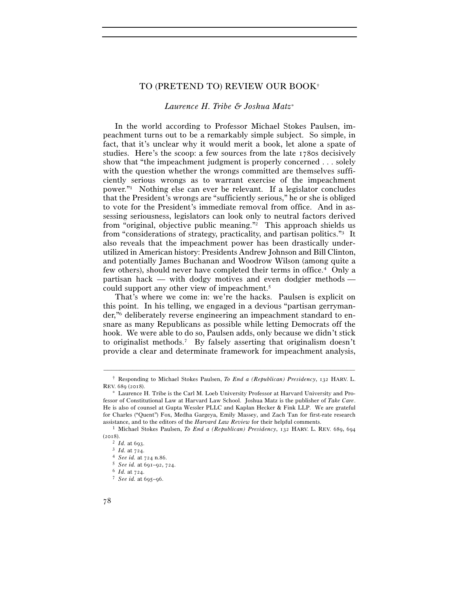# TO (PRETEND TO) REVIEW OUR BOOK†

# *Laurence H. Tribe & Joshua Matz*<sup>∗</sup>

In the world according to Professor Michael Stokes Paulsen, impeachment turns out to be a remarkably simple subject. So simple, in fact, that it's unclear why it would merit a book, let alone a spate of studies. Here's the scoop: a few sources from the late 1780s decisively show that "the impeachment judgment is properly concerned . . . solely with the question whether the wrongs committed are themselves sufficiently serious wrongs as to warrant exercise of the impeachment power."1 Nothing else can ever be relevant. If a legislator concludes that the President's wrongs are "sufficiently serious," he or she is obliged to vote for the President's immediate removal from office. And in assessing seriousness, legislators can look only to neutral factors derived from "original, objective public meaning."2 This approach shields us from "considerations of strategy, practicality, and partisan politics."3 It also reveals that the impeachment power has been drastically underutilized in American history: Presidents Andrew Johnson and Bill Clinton, and potentially James Buchanan and Woodrow Wilson (among quite a few others), should never have completed their terms in office.4 Only a partisan hack — with dodgy motives and even dodgier methods could support any other view of impeachment.5

That's where we come in: we're the hacks. Paulsen is explicit on this point. In his telling, we engaged in a devious "partisan gerrymander,"6 deliberately reverse engineering an impeachment standard to ensnare as many Republicans as possible while letting Democrats off the hook. We were able to do so, Paulsen adds, only because we didn't stick to originalist methods.7 By falsely asserting that originalism doesn't provide a clear and determinate framework for impeachment analysis,

<sup>–––––––––––––––––––––––––––––––––––––––––––––––––––––––––––––</sup> † Responding to Michael Stokes Paulsen, *To End a (Republican) Presidency*, 132 HARV. L. REV. 689 (2018).

<sup>∗</sup> Laurence H. Tribe is the Carl M. Loeb University Professor at Harvard University and Professor of Constitutional Law at Harvard Law School. Joshua Matz is the publisher of *Take Care*. He is also of counsel at Gupta Wessler PLLC and Kaplan Hecker & Fink LLP. We are grateful for Charles ("Quent") Fox, Medha Gargeya, Emily Massey, and Zach Tan for first-rate research assistance, and to the editors of the *Harvard Law Review* for their helpful comments. 1 Michael Stokes Paulsen, *To End a (Republican) Presidency*, 132 HARV. L. REV. 689, <sup>694</sup>

<sup>(</sup>2018).

<sup>2</sup> *Id.* at <sup>693</sup>. 3 *Id.* at <sup>724</sup>. 4 *See id.* at 724 n.<sup>86</sup>. 5 *See id.* at 691–92, <sup>724</sup>. 6 *Id.* at <sup>724</sup>. 7 *See id.* at 695–96.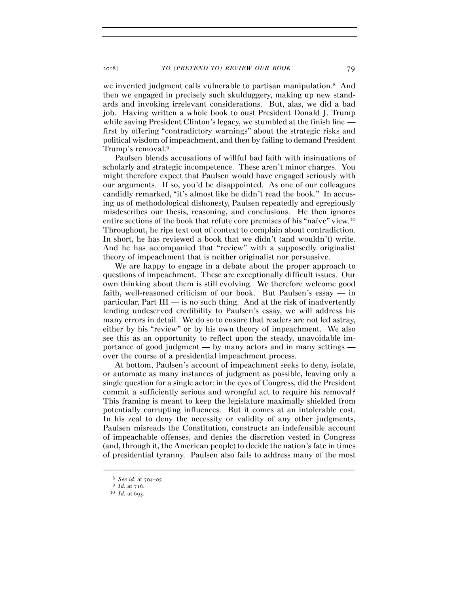we invented judgment calls vulnerable to partisan manipulation.8 And then we engaged in precisely such skulduggery, making up new standards and invoking irrelevant considerations. But, alas, we did a bad job. Having written a whole book to oust President Donald J. Trump while saving President Clinton's legacy, we stumbled at the finish line first by offering "contradictory warnings" about the strategic risks and political wisdom of impeachment, and then by failing to demand President Trump's removal.9

Paulsen blends accusations of willful bad faith with insinuations of scholarly and strategic incompetence. These aren't minor charges. You might therefore expect that Paulsen would have engaged seriously with our arguments. If so, you'd be disappointed. As one of our colleagues candidly remarked, "it's almost like he didn't read the book." In accusing us of methodological dishonesty, Paulsen repeatedly and egregiously misdescribes our thesis, reasoning, and conclusions. He then ignores entire sections of the book that refute core premises of his "naïve" view.10 Throughout, he rips text out of context to complain about contradiction. In short, he has reviewed a book that we didn't (and wouldn't) write. And he has accompanied that "review" with a supposedly originalist theory of impeachment that is neither originalist nor persuasive.

We are happy to engage in a debate about the proper approach to questions of impeachment. These are exceptionally difficult issues. Our own thinking about them is still evolving. We therefore welcome good faith, well-reasoned criticism of our book. But Paulsen's essay — in particular, Part  $III$  — is no such thing. And at the risk of inadvertently lending undeserved credibility to Paulsen's essay, we will address his many errors in detail. We do so to ensure that readers are not led astray, either by his "review" or by his own theory of impeachment. We also see this as an opportunity to reflect upon the steady, unavoidable importance of good judgment — by many actors and in many settings over the course of a presidential impeachment process.

At bottom, Paulsen's account of impeachment seeks to deny, isolate, or automate as many instances of judgment as possible, leaving only a single question for a single actor: in the eyes of Congress, did the President commit a sufficiently serious and wrongful act to require his removal? This framing is meant to keep the legislature maximally shielded from potentially corrupting influences. But it comes at an intolerable cost. In his zeal to deny the necessity or validity of any other judgments, Paulsen misreads the Constitution, constructs an indefensible account of impeachable offenses, and denies the discretion vested in Congress (and, through it, the American people) to decide the nation's fate in times of presidential tyranny. Paulsen also fails to address many of the most

<sup>8</sup> *See id.* at 704–<sup>05</sup>. 9 *Id.* at <sup>716</sup>. 10 *Id.* at 693.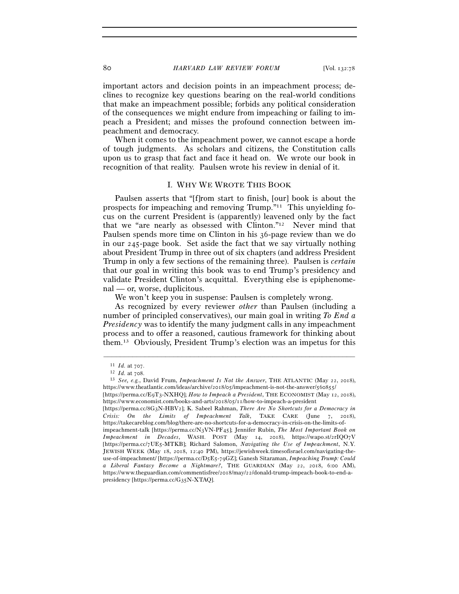# 80 *HARVARD LAW REVIEW FORUM* [Vol. 132:78

important actors and decision points in an impeachment process; declines to recognize key questions bearing on the real-world conditions that make an impeachment possible; forbids any political consideration of the consequences we might endure from impeaching or failing to impeach a President; and misses the profound connection between impeachment and democracy.

When it comes to the impeachment power, we cannot escape a horde of tough judgments. As scholars and citizens, the Constitution calls upon us to grasp that fact and face it head on. We wrote our book in recognition of that reality. Paulsen wrote his review in denial of it.

## I. WHY WE WROTE THIS BOOK

Paulsen asserts that "[f]rom start to finish, [our] book is about the prospects for impeaching and removing Trump."11 This unyielding focus on the current President is (apparently) leavened only by the fact that we "are nearly as obsessed with Clinton."12 Never mind that Paulsen spends more time on Clinton in his 36-page review than we do in our 245-page book. Set aside the fact that we say virtually nothing about President Trump in three out of six chapters (and address President Trump in only a few sections of the remaining three). Paulsen is *certain* that our goal in writing this book was to end Trump's presidency and validate President Clinton's acquittal. Everything else is epiphenomenal — or, worse, duplicitous.

We won't keep you in suspense: Paulsen is completely wrong.

As recognized by every reviewer *other* than Paulsen (including a number of principled conservatives), our main goal in writing *To End a Presidency* was to identify the many judgment calls in any impeachment process and to offer a reasoned, cautious framework for thinking about them.13 Obviously, President Trump's election was an impetus for this

<sup>11</sup> *Id.* at <sup>707</sup>. 12 *Id.* at <sup>708</sup>. 13 *See, e.g.*, David Frum, *Impeachment Is Not the Answer*, THE ATLANTIC (May 22, 2018), https://www.theatlantic.com/ideas/archive/2018/05/impeachment-is-not-the-answer/560855/

<sup>[</sup>https://perma.cc/E9T3-NXHQ]; *How to Impeach a President*, THE ECONOMIST (May 12, 2018), https://www.economist.com/books-and-arts/2018/05/11/how-to-impeach-a-president

<sup>[</sup>https://perma.cc/8G3N-HBV2]; K. Sabeel Rahman, *There Are No Shortcuts for a Democracy in Crisis: On the Limits of Impeachment Talk*, TAKE CARE (June 7, 2018), https://takecareblog.com/blog/there-are-no-shortcuts-for-a-democracy-in-crisis-on-the-limits-of-

impeachment-talk [https://perma.cc/N3VN-PF45]; Jennifer Rubin, *The Most Important Book on Impeachment in Decades*, WASH. POST (May 14, 2018), https://wapo.st/2rIQO7V [https://perma.cc/7UE5-MTKB]; Richard Salomon, *Navigating the Use of Impeachment*, N.Y. JEWISH WEEK (May 18, 2018, 12:40 PM), https://jewishweek.timesofisrael.com/navigating-theuse-of-impeachment/ [https://perma.cc/D5E5-79GZ]; Ganesh Sitaraman, *Impeaching Trump: Could a Liberal Fantasy Become a Nightmare?*, THE GUARDIAN (May 22, 2018, 6:00 AM), https://www.theguardian.com/commentisfree/2018/may/22/donald-trump-impeach-book-to-end-apresidency [https://perma.cc/G35N-XTAQ].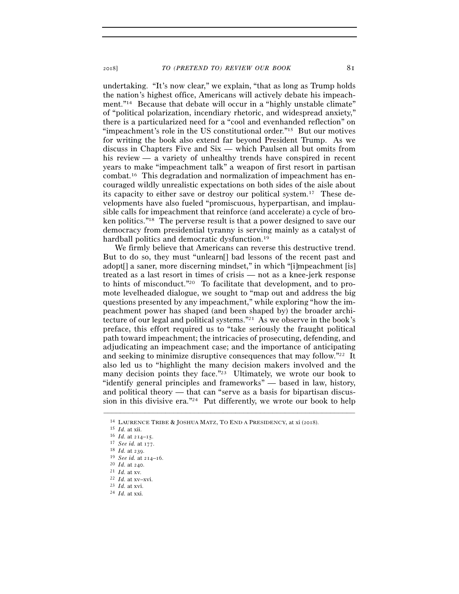undertaking. "It's now clear," we explain, "that as long as Trump holds the nation's highest office, Americans will actively debate his impeachment."<sup>14</sup> Because that debate will occur in a "highly unstable climate" of "political polarization, incendiary rhetoric, and widespread anxiety," there is a particularized need for a "cool and evenhanded reflection" on "impeachment's role in the US constitutional order."15 But our motives for writing the book also extend far beyond President Trump. As we discuss in Chapters Five and Six — which Paulsen all but omits from his review — a variety of unhealthy trends have conspired in recent years to make "impeachment talk" a weapon of first resort in partisan combat.16 This degradation and normalization of impeachment has encouraged wildly unrealistic expectations on both sides of the aisle about its capacity to either save or destroy our political system.17 These developments have also fueled "promiscuous, hyperpartisan, and implausible calls for impeachment that reinforce (and accelerate) a cycle of broken politics."18 The perverse result is that a power designed to save our democracy from presidential tyranny is serving mainly as a catalyst of hardball politics and democratic dysfunction.19

We firmly believe that Americans can reverse this destructive trend. But to do so, they must "unlearn[] bad lessons of the recent past and adopt<sup>[]</sup> a saner, more discerning mindset," in which "[i]mpeachment [is] treated as a last resort in times of crisis — not as a knee-jerk response to hints of misconduct."20 To facilitate that development, and to promote levelheaded dialogue, we sought to "map out and address the big questions presented by any impeachment," while exploring "how the impeachment power has shaped (and been shaped by) the broader architecture of our legal and political systems."<sup>21</sup> As we observe in the book's preface, this effort required us to "take seriously the fraught political path toward impeachment; the intricacies of prosecuting, defending, and adjudicating an impeachment case; and the importance of anticipating and seeking to minimize disruptive consequences that may follow."22 It also led us to "highlight the many decision makers involved and the many decision points they face."<sup>23</sup> Ultimately, we wrote our book to "identify general principles and frameworks" — based in law, history, and political theory — that can "serve as a basis for bipartisan discussion in this divisive era."<sup>24</sup> Put differently, we wrote our book to help

<sup>&</sup>lt;sup>14</sup> LAURENCE TRIBE & JOSHUA MATZ, TO END A PRESIDENCY, at xi (2018).<br>
<sup>15</sup> *Id.* at xii.<br>
<sup>16</sup> *Id.* at 214–15.<br>
<sup>17</sup> *See id.* at 177.<br>
<sup>18</sup> *Id.* at 239.<br>
<sup>19</sup> *See id.* at 214–16.<br>
<sup>21</sup> *Id.* at 240.<br>
<sup>21</sup> *Id.* at xw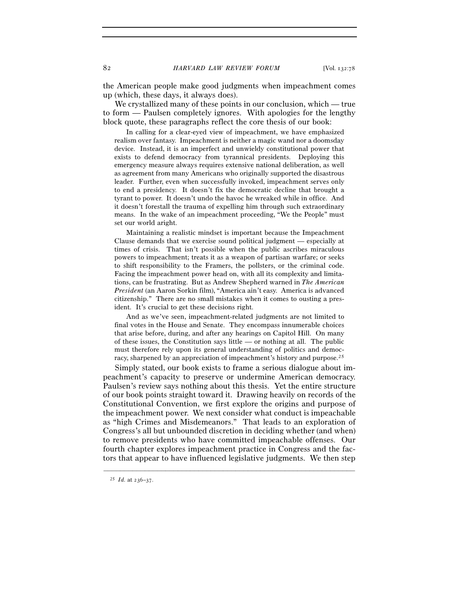the American people make good judgments when impeachment comes up (which, these days, it always does).

We crystallized many of these points in our conclusion, which — true to form — Paulsen completely ignores. With apologies for the lengthy block quote, these paragraphs reflect the core thesis of our book:

In calling for a clear-eyed view of impeachment, we have emphasized realism over fantasy. Impeachment is neither a magic wand nor a doomsday device. Instead, it is an imperfect and unwieldy constitutional power that exists to defend democracy from tyrannical presidents. Deploying this emergency measure always requires extensive national deliberation, as well as agreement from many Americans who originally supported the disastrous leader. Further, even when successfully invoked, impeachment serves only to end a presidency. It doesn't fix the democratic decline that brought a tyrant to power. It doesn't undo the havoc he wreaked while in office. And it doesn't forestall the trauma of expelling him through such extraordinary means. In the wake of an impeachment proceeding, "We the People" must set our world aright.

Maintaining a realistic mindset is important because the Impeachment Clause demands that we exercise sound political judgment — especially at times of crisis. That isn't possible when the public ascribes miraculous powers to impeachment; treats it as a weapon of partisan warfare; or seeks to shift responsibility to the Framers, the pollsters, or the criminal code. Facing the impeachment power head on, with all its complexity and limitations, can be frustrating. But as Andrew Shepherd warned in *The American President* (an Aaron Sorkin film), "America ain't easy. America is advanced citizenship." There are no small mistakes when it comes to ousting a president. It's crucial to get these decisions right.

And as we've seen, impeachment-related judgments are not limited to final votes in the House and Senate. They encompass innumerable choices that arise before, during, and after any hearings on Capitol Hill. On many of these issues, the Constitution says little — or nothing at all. The public must therefore rely upon its general understanding of politics and democracy, sharpened by an appreciation of impeachment's history and purpose.<sup>25</sup>

Simply stated, our book exists to frame a serious dialogue about impeachment's capacity to preserve or undermine American democracy. Paulsen's review says nothing about this thesis. Yet the entire structure of our book points straight toward it. Drawing heavily on records of the Constitutional Convention, we first explore the origins and purpose of the impeachment power. We next consider what conduct is impeachable as "high Crimes and Misdemeanors." That leads to an exploration of Congress's all but unbounded discretion in deciding whether (and when) to remove presidents who have committed impeachable offenses. Our fourth chapter explores impeachment practice in Congress and the factors that appear to have influenced legislative judgments. We then step

<sup>25</sup> *Id.* at 236–37.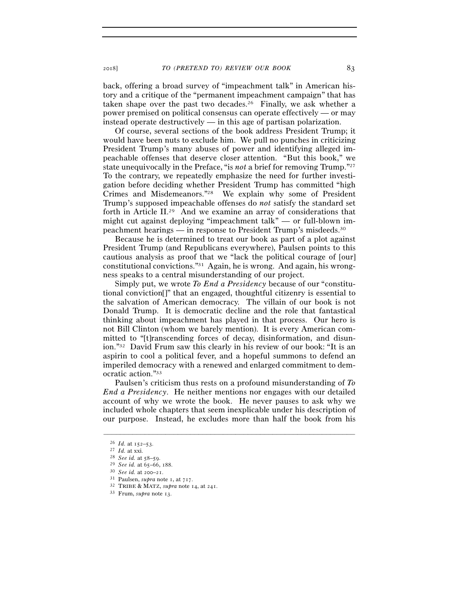back, offering a broad survey of "impeachment talk" in American history and a critique of the "permanent impeachment campaign" that has taken shape over the past two decades.26 Finally, we ask whether a power premised on political consensus can operate effectively — or may instead operate destructively — in this age of partisan polarization.

Of course, several sections of the book address President Trump; it would have been nuts to exclude him. We pull no punches in criticizing President Trump's many abuses of power and identifying alleged impeachable offenses that deserve closer attention. "But this book," we state unequivocally in the Preface, "is *not* a brief for removing Trump."27 To the contrary, we repeatedly emphasize the need for further investigation before deciding whether President Trump has committed "high Crimes and Misdemeanors."28 We explain why some of President Trump's supposed impeachable offenses do *not* satisfy the standard set forth in Article II.29 And we examine an array of considerations that might cut against deploying "impeachment talk" — or full-blown impeachment hearings — in response to President Trump's misdeeds.30

Because he is determined to treat our book as part of a plot against President Trump (and Republicans everywhere), Paulsen points to this cautious analysis as proof that we "lack the political courage of [our] constitutional convictions."31 Again, he is wrong. And again, his wrongness speaks to a central misunderstanding of our project.

Simply put, we wrote *To End a Presidency* because of our "constitutional conviction[]" that an engaged, thoughtful citizenry is essential to the salvation of American democracy. The villain of our book is not Donald Trump. It is democratic decline and the role that fantastical thinking about impeachment has played in that process. Our hero is not Bill Clinton (whom we barely mention). It is every American committed to "[t]ranscending forces of decay, disinformation, and disunion."32 David Frum saw this clearly in his review of our book: "It is an aspirin to cool a political fever, and a hopeful summons to defend an imperiled democracy with a renewed and enlarged commitment to democratic action."33

Paulsen's criticism thus rests on a profound misunderstanding of *To End a Presidency*. He neither mentions nor engages with our detailed account of why we wrote the book. He never pauses to ask why we included whole chapters that seem inexplicable under his description of our purpose. Instead, he excludes more than half the book from his

<sup>26</sup> *Id.* at 152–53.<br>
27 *Id.* at xxi.<br>
28 *See id.* at 58–59.<br>
29 *See id.* at 65–66, 188.<br>
30 *See id.* at 200–21.<br>
31 Paulsen, *supra* note 1, at 717.<br>
32 TRIBE & MATZ, *supra* note 14, at 241.<br>
33 Frum, *supra* note 13.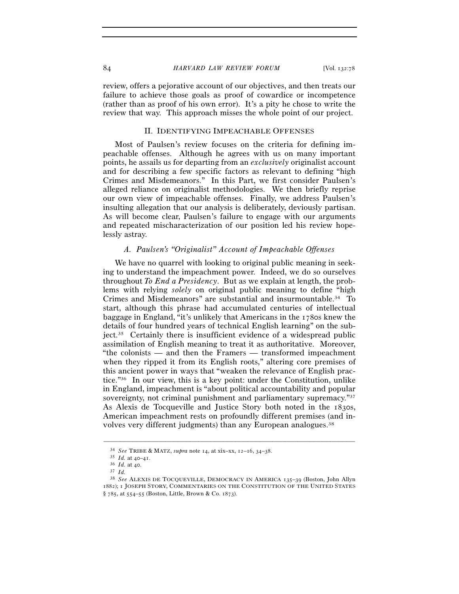review, offers a pejorative account of our objectives, and then treats our failure to achieve those goals as proof of cowardice or incompetence (rather than as proof of his own error). It's a pity he chose to write the review that way. This approach misses the whole point of our project.

#### II. IDENTIFYING IMPEACHABLE OFFENSES

Most of Paulsen's review focuses on the criteria for defining impeachable offenses. Although he agrees with us on many important points, he assails us for departing from an *exclusively* originalist account and for describing a few specific factors as relevant to defining "high Crimes and Misdemeanors." In this Part, we first consider Paulsen's alleged reliance on originalist methodologies. We then briefly reprise our own view of impeachable offenses. Finally, we address Paulsen's insulting allegation that our analysis is deliberately, deviously partisan. As will become clear, Paulsen's failure to engage with our arguments and repeated mischaracterization of our position led his review hopelessly astray.

#### *A. Paulsen's "Originalist" Account of Impeachable Offenses*

We have no quarrel with looking to original public meaning in seeking to understand the impeachment power. Indeed, we do so ourselves throughout *To End a Presidency*. But as we explain at length, the problems with relying *solely* on original public meaning to define "high Crimes and Misdemeanors" are substantial and insurmountable.34 To start, although this phrase had accumulated centuries of intellectual baggage in England, "it's unlikely that Americans in the 1780s knew the details of four hundred years of technical English learning" on the subject.35 Certainly there is insufficient evidence of a widespread public assimilation of English meaning to treat it as authoritative. Moreover, "the colonists — and then the Framers — transformed impeachment when they ripped it from its English roots," altering core premises of this ancient power in ways that "weaken the relevance of English practice."36 In our view, this is a key point: under the Constitution, unlike in England, impeachment is "about political accountability and popular sovereignty, not criminal punishment and parliamentary supremacy."37 As Alexis de Tocqueville and Justice Story both noted in the 1830s, American impeachment rests on profoundly different premises (and involves very different judgments) than any European analogues.<sup>38</sup>

<sup>34</sup> *See* TRIBE & MATZ, *supra* note 14, at xix–xx, 12–16, 34–<sup>38</sup>. 35 *Id.* at 40–<sup>41</sup>. 36 *Id.* at <sup>40</sup>. 37 *Id.*<sup>38</sup> *See* ALEXIS DE TOCQUEVILLE, DEMOCRACY IN AMERICA <sup>135</sup>–39 (Boston, John Allyn 1882); 1 JOSEPH STORY, COMMENTARIES ON THE CONSTITUTION OF THE UNITED STATES § 785, at 554–55 (Boston, Little, Brown & Co. 1873).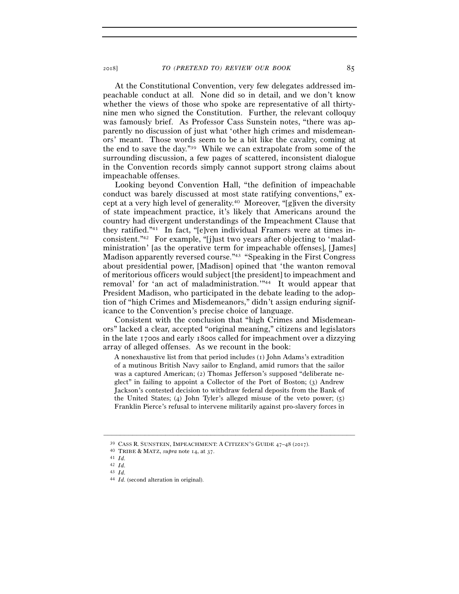At the Constitutional Convention, very few delegates addressed impeachable conduct at all. None did so in detail, and we don't know whether the views of those who spoke are representative of all thirtynine men who signed the Constitution. Further, the relevant colloquy was famously brief. As Professor Cass Sunstein notes, "there was apparently no discussion of just what 'other high crimes and misdemeanors' meant. Those words seem to be a bit like the cavalry, coming at the end to save the day."39 While we can extrapolate from some of the surrounding discussion, a few pages of scattered, inconsistent dialogue in the Convention records simply cannot support strong claims about impeachable offenses.

Looking beyond Convention Hall, "the definition of impeachable conduct was barely discussed at most state ratifying conventions," except at a very high level of generality.40 Moreover, "[g]iven the diversity of state impeachment practice, it's likely that Americans around the country had divergent understandings of the Impeachment Clause that they ratified."41 In fact, "[e]ven individual Framers were at times inconsistent."42 For example, "[j]ust two years after objecting to 'maladministration' [as the operative term for impeachable offenses], [James] Madison apparently reversed course."43 "Speaking in the First Congress about presidential power, [Madison] opined that 'the wanton removal of meritorious officers would subject [the president] to impeachment and removal' for 'an act of maladministration.'"44 It would appear that President Madison, who participated in the debate leading to the adoption of "high Crimes and Misdemeanors," didn't assign enduring significance to the Convention's precise choice of language.

Consistent with the conclusion that "high Crimes and Misdemeanors" lacked a clear, accepted "original meaning," citizens and legislators in the late 1700s and early 1800s called for impeachment over a dizzying array of alleged offenses. As we recount in the book:

A nonexhaustive list from that period includes (1) John Adams's extradition of a mutinous British Navy sailor to England, amid rumors that the sailor was a captured American; (2) Thomas Jefferson's supposed "deliberate neglect" in failing to appoint a Collector of the Port of Boston; (3) Andrew Jackson's contested decision to withdraw federal deposits from the Bank of the United States; (4) John Tyler's alleged misuse of the veto power; (5) Franklin Pierce's refusal to intervene militarily against pro-slavery forces in

 $^{39}$  CASS R. SUNSTEIN, IMPEACHMENT: A CITIZEN'S GUIDE 47–48 (2017).  $^{40}$  TRIBE & MATZ, *supra* note 14, at 37.  $^{41}$  *Id.*  $^{42}$  *Id.*  $^{43}$  *Id.* 

<sup>43</sup> *Id.* 44 *Id.* (second alteration in original).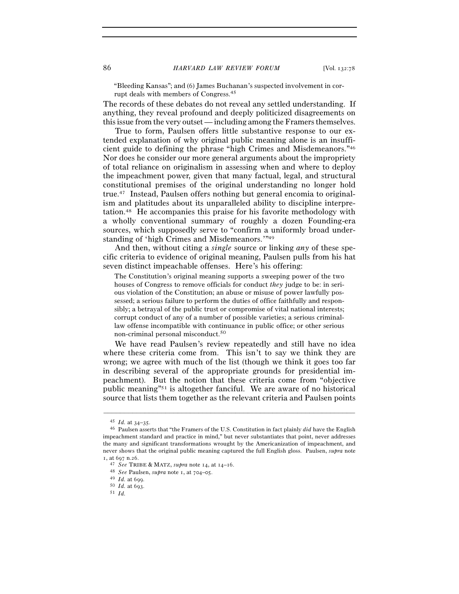"Bleeding Kansas"; and (6) James Buchanan's suspected involvement in corrupt deals with members of Congress.45

The records of these debates do not reveal any settled understanding. If anything, they reveal profound and deeply politicized disagreements on this issue from the very outset — including among the Framers themselves.

True to form, Paulsen offers little substantive response to our extended explanation of why original public meaning alone is an insufficient guide to defining the phrase "high Crimes and Misdemeanors."46 Nor does he consider our more general arguments about the impropriety of total reliance on originalism in assessing when and where to deploy the impeachment power, given that many factual, legal, and structural constitutional premises of the original understanding no longer hold true.47 Instead, Paulsen offers nothing but general encomia to originalism and platitudes about its unparalleled ability to discipline interpretation.48 He accompanies this praise for his favorite methodology with a wholly conventional summary of roughly a dozen Founding-era sources, which supposedly serve to "confirm a uniformly broad understanding of 'high Crimes and Misdemeanors.'"49

And then, without citing a *single* source or linking *any* of these specific criteria to evidence of original meaning, Paulsen pulls from his hat seven distinct impeachable offenses. Here's his offering:

The Constitution's original meaning supports a sweeping power of the two houses of Congress to remove officials for conduct *they* judge to be: in serious violation of the Constitution; an abuse or misuse of power lawfully possessed; a serious failure to perform the duties of office faithfully and responsibly; a betrayal of the public trust or compromise of vital national interests; corrupt conduct of any of a number of possible varieties; a serious criminallaw offense incompatible with continuance in public office; or other serious non-criminal personal misconduct.50

We have read Paulsen's review repeatedly and still have no idea where these criteria come from. This isn't to say we think they are wrong; we agree with much of the list (though we think it goes too far in describing several of the appropriate grounds for presidential impeachment). But the notion that these criteria come from "objective public meaning"51 is altogether fanciful. We are aware of no historical source that lists them together as the relevant criteria and Paulsen points

<sup>45</sup> *Id.* at 34–<sup>35</sup>. 46 Paulsen asserts that "the Framers of the U.S. Constitution in fact plainly *did* have the English impeachment standard and practice in mind," but never substantiates that point, never addresses the many and significant transformations wrought by the Americanization of impeachment, and never shows that the original public meaning captured the full English gloss. Paulsen, *supra* note <sup>1</sup>, at 697 n.<sup>26</sup>. 47 *See* TRIBE & MATZ, *supra* note 14, at 14–<sup>16</sup>. 48 *See* Paulsen, *supra* note 1, at 704–<sup>05</sup>. 49 *Id.* at <sup>699</sup>. 50 *Id.* at <sup>693</sup>. 51 *Id.*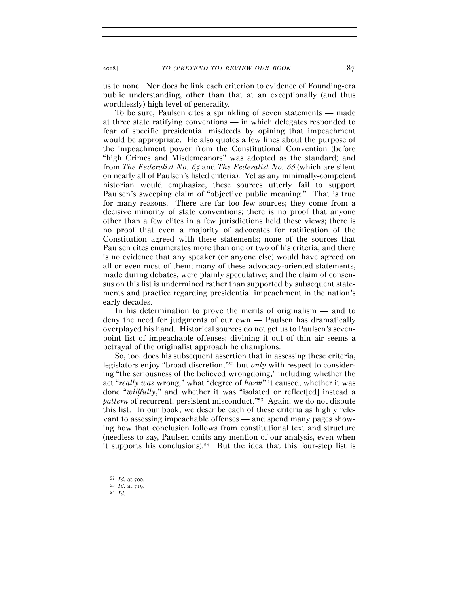us to none. Nor does he link each criterion to evidence of Founding-era public understanding, other than that at an exceptionally (and thus worthlessly) high level of generality.

To be sure, Paulsen cites a sprinkling of seven statements — made at three state ratifying conventions — in which delegates responded to fear of specific presidential misdeeds by opining that impeachment would be appropriate. He also quotes a few lines about the purpose of the impeachment power from the Constitutional Convention (before "high Crimes and Misdemeanors" was adopted as the standard) and from *The Federalist No.* 65 and *The Federalist No.* 66 (which are silent on nearly all of Paulsen's listed criteria). Yet as any minimally-competent historian would emphasize, these sources utterly fail to support Paulsen's sweeping claim of "objective public meaning." That is true for many reasons. There are far too few sources; they come from a decisive minority of state conventions; there is no proof that anyone other than a few elites in a few jurisdictions held these views; there is no proof that even a majority of advocates for ratification of the Constitution agreed with these statements; none of the sources that Paulsen cites enumerates more than one or two of his criteria, and there is no evidence that any speaker (or anyone else) would have agreed on all or even most of them; many of these advocacy-oriented statements, made during debates, were plainly speculative; and the claim of consensus on this list is undermined rather than supported by subsequent statements and practice regarding presidential impeachment in the nation's early decades.

In his determination to prove the merits of originalism — and to deny the need for judgments of our own — Paulsen has dramatically overplayed his hand. Historical sources do not get us to Paulsen's sevenpoint list of impeachable offenses; divining it out of thin air seems a betrayal of the originalist approach he champions.

So, too, does his subsequent assertion that in assessing these criteria, legislators enjoy "broad discretion,"52 but *only* with respect to considering "the seriousness of the believed wrongdoing," including whether the act "*really was* wrong," what "degree of *harm*" it caused, whether it was done "willfully," and whether it was "isolated or reflect<sup>[ed]</sup> instead a *pattern* of recurrent, persistent misconduct."53 Again, we do not dispute this list. In our book, we describe each of these criteria as highly relevant to assessing impeachable offenses — and spend many pages showing how that conclusion follows from constitutional text and structure (needless to say, Paulsen omits any mention of our analysis, even when it supports his conclusions).54 But the idea that this four-step list is

<sup>52</sup> *Id.* at <sup>700</sup>. 53 *Id.* at <sup>719</sup>. 54 *Id.*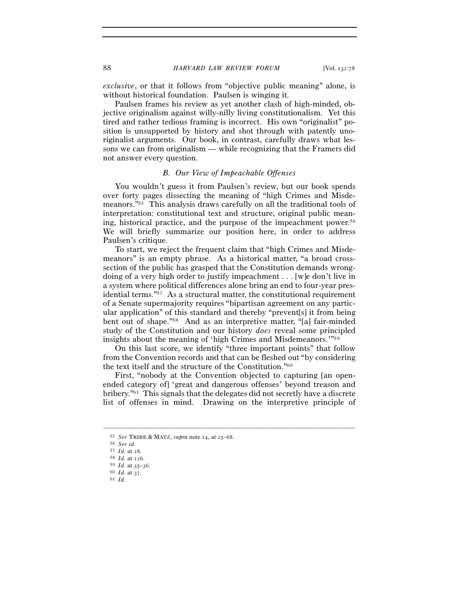*exclusive*, or that it follows from "objective public meaning" alone, is without historical foundation. Paulsen is winging it.

Paulsen frames his review as yet another clash of high-minded, objective originalism against willy-nilly living constitutionalism. Yet this tired and rather tedious framing is incorrect. His own "originalist" position is unsupported by history and shot through with patently unoriginalist arguments. Our book, in contrast, carefully draws what lessons we can from originalism — while recognizing that the Framers did not answer every question.

## *B. Our View of Impeachable Offenses*

You wouldn't guess it from Paulsen's review, but our book spends over forty pages dissecting the meaning of "high Crimes and Misdemeanors."55 This analysis draws carefully on all the traditional tools of interpretation: constitutional text and structure, original public meaning, historical practice, and the purpose of the impeachment power.56 We will briefly summarize our position here, in order to address Paulsen's critique.

To start, we reject the frequent claim that "high Crimes and Misdemeanors" is an empty phrase. As a historical matter, "a broad crosssection of the public has grasped that the Constitution demands wrongdoing of a very high order to justify impeachment . . . [w]e don't live in a system where political differences alone bring an end to four-year presidential terms."57 As a structural matter, the constitutional requirement of a Senate supermajority requires "bipartisan agreement on any particular application" of this standard and thereby "prevent[s] it from being bent out of shape."58 And as an interpretive matter, "[a] fair-minded study of the Constitution and our history *does* reveal some principled insights about the meaning of 'high Crimes and Misdemeanors.'"59

On this last score, we identify "three important points" that follow from the Convention records and that can be fleshed out "by considering the text itself and the structure of the Constitution."60

First, "nobody at the Convention objected to capturing [an openended category of] 'great and dangerous offenses' beyond treason and bribery."61 This signals that the delegates did not secretly have a discrete list of offenses in mind. Drawing on the interpretive principle of

<sup>55</sup> *See* TRIBE & MATZ, *supra* note 14, at 25–<sup>68</sup>. 56 *See id.*

<sup>57</sup> *Id.* at <sup>28</sup>. 58 *Id.* at <sup>126</sup>. 59 *Id.* at 35–<sup>36</sup>. 60 *Id.* at <sup>37</sup>. 61 *Id.*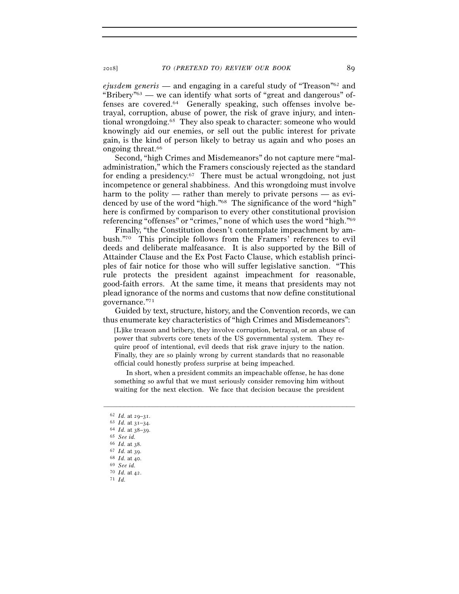*ejusdem generis* — and engaging in a careful study of "Treason"62 and "Bribery"63 — we can identify what sorts of "great and dangerous" offenses are covered.64 Generally speaking, such offenses involve betrayal, corruption, abuse of power, the risk of grave injury, and intentional wrongdoing.65 They also speak to character: someone who would knowingly aid our enemies, or sell out the public interest for private gain, is the kind of person likely to betray us again and who poses an ongoing threat.66

Second, "high Crimes and Misdemeanors" do not capture mere "maladministration," which the Framers consciously rejected as the standard for ending a presidency.<sup>67</sup> There must be actual wrongdoing, not just incompetence or general shabbiness. And this wrongdoing must involve harm to the polity — rather than merely to private persons — as evidenced by use of the word "high."68 The significance of the word "high" here is confirmed by comparison to every other constitutional provision referencing "offenses" or "crimes," none of which uses the word "high."69

Finally, "the Constitution doesn't contemplate impeachment by ambush."70 This principle follows from the Framers' references to evil deeds and deliberate malfeasance. It is also supported by the Bill of Attainder Clause and the Ex Post Facto Clause, which establish principles of fair notice for those who will suffer legislative sanction. "This rule protects the president against impeachment for reasonable, good-faith errors. At the same time, it means that presidents may not plead ignorance of the norms and customs that now define constitutional governance."71

Guided by text, structure, history, and the Convention records, we can thus enumerate key characteristics of "high Crimes and Misdemeanors":

[L]ike treason and bribery, they involve corruption, betrayal, or an abuse of power that subverts core tenets of the US governmental system. They require proof of intentional, evil deeds that risk grave injury to the nation. Finally, they are so plainly wrong by current standards that no reasonable official could honestly profess surprise at being impeached.

In short, when a president commits an impeachable offense, he has done something so awful that we must seriously consider removing him without waiting for the next election. We face that decision because the president

–––––––––––––––––––––––––––––––––––––––––––––––––––––––––––––

 $^{70}$   $\,$   $\!1d.$  at 42.  $^{71}$   $\,$   $\!1d.$ 

<sup>62</sup> *Id.* at  $29-31$ .<br>63 *Id.* at  $31-34$ .

<sup>64</sup> *Id.* at 38–39. 65 *See id.* 66 *Id.* at 38. 67 *Id.* at 39. 68 *Id.* at 40. 69 *See id.*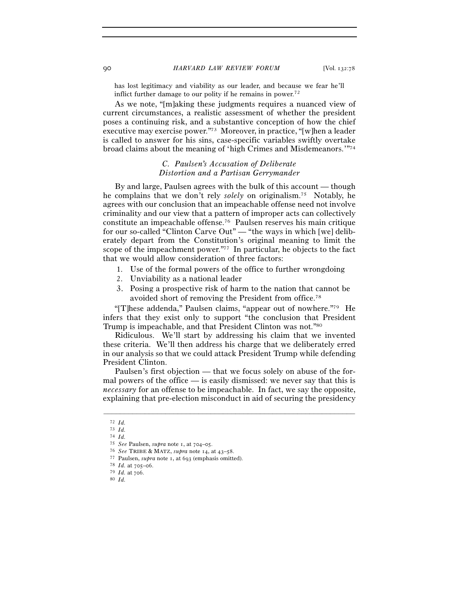has lost legitimacy and viability as our leader, and because we fear he'll inflict further damage to our polity if he remains in power.<sup>72</sup>

As we note, "[m]aking these judgments requires a nuanced view of current circumstances, a realistic assessment of whether the president poses a continuing risk, and a substantive conception of how the chief executive may exercise power."73 Moreover, in practice, "[w]hen a leader is called to answer for his sins, case-specific variables swiftly overtake broad claims about the meaning of 'high Crimes and Misdemeanors.'"74

# *C. Paulsen's Accusation of Deliberate Distortion and a Partisan Gerrymander*

By and large, Paulsen agrees with the bulk of this account — though he complains that we don't rely *solely* on originalism.75 Notably, he agrees with our conclusion that an impeachable offense need not involve criminality and our view that a pattern of improper acts can collectively constitute an impeachable offense.76 Paulsen reserves his main critique for our so-called "Clinton Carve Out" — "the ways in which [we] deliberately depart from the Constitution's original meaning to limit the scope of the impeachment power."77 In particular, he objects to the fact that we would allow consideration of three factors:

- 1. Use of the formal powers of the office to further wrongdoing
- 2. Unviability as a national leader
- 3. Posing a prospective risk of harm to the nation that cannot be avoided short of removing the President from office.78

"[T]hese addenda," Paulsen claims, "appear out of nowhere."79 He infers that they exist only to support "the conclusion that President Trump is impeachable, and that President Clinton was not."80

Ridiculous. We'll start by addressing his claim that we invented these criteria. We'll then address his charge that we deliberately erred in our analysis so that we could attack President Trump while defending President Clinton.

Paulsen's first objection — that we focus solely on abuse of the formal powers of the office — is easily dismissed: we never say that this is *necessary* for an offense to be impeachable. In fact, we say the opposite, explaining that pre-election misconduct in aid of securing the presidency

<sup>72</sup> *Id.* 73 *Id.*

<sup>74</sup> *Id.*

<sup>76</sup> See TRIBE & MATZ, supra note 14, at  $43-58$ .<br>
77 Paulsen, supra note 1, at  $693$  (emphasis omitted).<br>
78 Id. at  $705-06$ .<br>
79 Id. at  $706$ .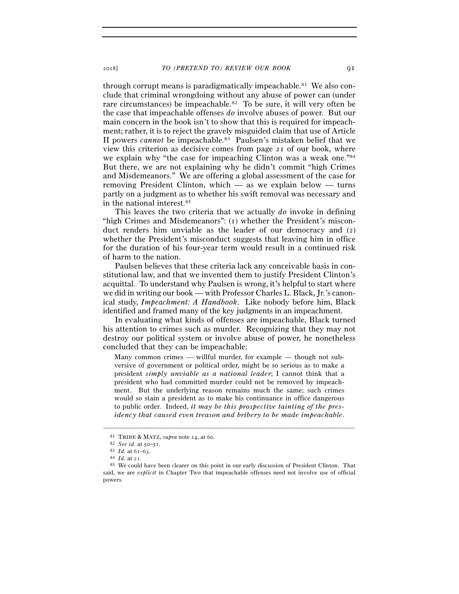through corrupt means is paradigmatically impeachable.<sup>81</sup> We also conclude that criminal wrongdoing without any abuse of power can (under rare circumstances) be impeachable.82 To be sure, it will very often be the case that impeachable offenses *do* involve abuses of power. But our main concern in the book isn't to show that this is required for impeachment; rather, it is to reject the gravely misguided claim that use of Article II powers *cannot* be impeachable.83 Paulsen's mistaken belief that we view this criterion as decisive comes from page 21 of our book, where we explain why "the case for impeaching Clinton was a weak one."84 But there, we are not explaining why he didn't commit "high Crimes and Misdemeanors." We are offering a global assessment of the case for removing President Clinton, which — as we explain below — turns partly on a judgment as to whether his swift removal was necessary and in the national interest.85

This leaves the two criteria that we actually *do* invoke in defining "high Crimes and Misdemeanors": (1) whether the President's misconduct renders him unviable as the leader of our democracy and (2) whether the President's misconduct suggests that leaving him in office for the duration of his four-year term would result in a continued risk of harm to the nation.

Paulsen believes that these criteria lack any conceivable basis in constitutional law, and that we invented them to justify President Clinton's acquittal. To understand why Paulsen is wrong, it's helpful to start where we did in writing our book — with Professor Charles L. Black, Jr.'s canonical study, *Impeachment: A Handbook*. Like nobody before him, Black identified and framed many of the key judgments in an impeachment.

In evaluating what kinds of offenses are impeachable, Black turned his attention to crimes such as murder. Recognizing that they may not destroy our political system or involve abuse of power, he nonetheless concluded that they can be impeachable:

Many common crimes — willful murder, for example — though not subversive of government or political order, might be so serious as to make a president *simply unviable as a national leader*; I cannot think that a president who had committed murder could not be removed by impeachment. But the underlying reason remains much the same; such crimes would so stain a president as to make his continuance in office dangerous to public order. Indeed, *it may be this prospective tainting of the presidency that caused even treason and bribery to be made impeachable*.

<sup>81</sup> TRIBE & MATZ, *supra* note 14, at 60.<br>
82 *See id.* at 50–51.<br>
83 *Id.* at 61–63.<br>
84 *Id.* at 21.<br>
85 We could have been clearer on this point in our early discussion of President Clinton. That said, we are *explicit* in Chapter Two that impeachable offenses need not involve use of official powers.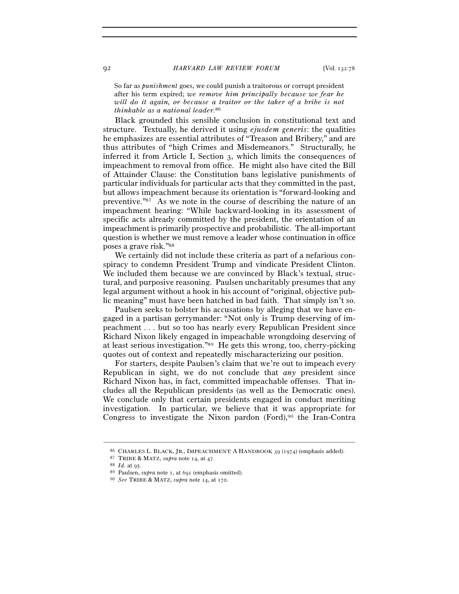So far as *punishment* goes, we could punish a traitorous or corrupt president after his term expired; *we remove him principally because we fear he will do it again, or because a traitor or the taker of a bribe is not thinkable as a national leader*. 86

Black grounded this sensible conclusion in constitutional text and structure. Textually, he derived it using *ejusdem generis*: the qualities he emphasizes are essential attributes of "Treason and Bribery," and are thus attributes of "high Crimes and Misdemeanors." Structurally, he inferred it from Article I, Section 3, which limits the consequences of impeachment to removal from office. He might also have cited the Bill of Attainder Clause: the Constitution bans legislative punishments of particular individuals for particular acts that they committed in the past, but allows impeachment because its orientation is "forward-looking and preventive."87 As we note in the course of describing the nature of an impeachment hearing: "While backward-looking in its assessment of specific acts already committed by the president, the orientation of an impeachment is primarily prospective and probabilistic. The all-important question is whether we must remove a leader whose continuation in office poses a grave risk."88

We certainly did not include these criteria as part of a nefarious conspiracy to condemn President Trump and vindicate President Clinton. We included them because we are convinced by Black's textual, structural, and purposive reasoning. Paulsen uncharitably presumes that any legal argument without a hook in his account of "original, objective public meaning" must have been hatched in bad faith. That simply isn't so.

Paulsen seeks to bolster his accusations by alleging that we have engaged in a partisan gerrymander: "Not only is Trump deserving of impeachment . . . but so too has nearly every Republican President since Richard Nixon likely engaged in impeachable wrongdoing deserving of at least serious investigation."89 He gets this wrong, too, cherry-picking quotes out of context and repeatedly mischaracterizing our position.

For starters, despite Paulsen's claim that we're out to impeach every Republican in sight, we do not conclude that *any* president since Richard Nixon has, in fact, committed impeachable offenses. That includes all the Republican presidents (as well as the Democratic ones). We conclude only that certain presidents engaged in conduct meriting investigation. In particular, we believe that it was appropriate for Congress to investigate the Nixon pardon (Ford),<sup>90</sup> the Iran-Contra

<sup>–––––––––––––––––––––––––––––––––––––––––––––––––––––––––––––</sup> % CHARLES L. BLACK, JR., IMPEACHMENT: A HANDBOOK 39 (1974) (emphasis added).<br>
<sup>87</sup> TRIBE & MATZ, *supra* note 14, at 47.<br>
<sup>88</sup> Id. at 95.<br>
<sup>89</sup> Paulsen, *supra* note 1, at 691 (emphasis omitted).<br>
<sup>90</sup> See TRIBE & MATZ,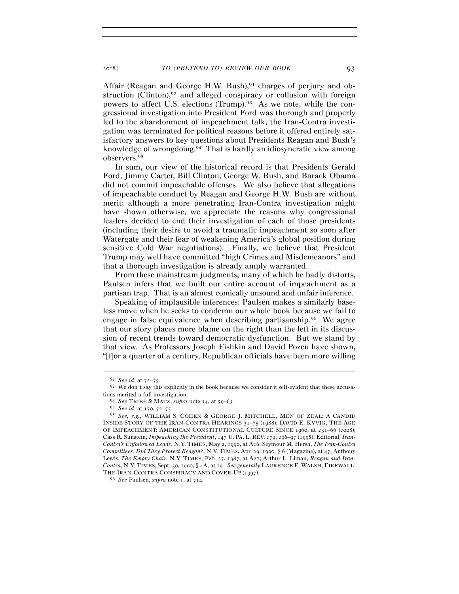Affair (Reagan and George H.W. Bush), $91$  charges of perjury and obstruction (Clinton), $92$  and alleged conspiracy or collusion with foreign powers to affect U.S. elections (Trump).93 As we note, while the congressional investigation into President Ford was thorough and properly led to the abandonment of impeachment talk, the Iran-Contra investigation was terminated for political reasons before it offered entirely satisfactory answers to key questions about Presidents Reagan and Bush's knowledge of wrongdoing.94 That is hardly an idiosyncratic view among observers.95

In sum, our view of the historical record is that Presidents Gerald Ford, Jimmy Carter, Bill Clinton, George W. Bush, and Barack Obama did not commit impeachable offenses. We also believe that allegations of impeachable conduct by Reagan and George H.W. Bush are without merit; although a more penetrating Iran-Contra investigation might have shown otherwise, we appreciate the reasons why congressional leaders decided to end their investigation of each of those presidents (including their desire to avoid a traumatic impeachment so soon after Watergate and their fear of weakening America's global position during sensitive Cold War negotiations). Finally, we believe that President Trump may well have committed "high Crimes and Misdemeanors" and that a thorough investigation is already amply warranted.

From these mainstream judgments, many of which he badly distorts, Paulsen infers that we built our entire account of impeachment as a partisan trap. That is an almost comically unsound and unfair inference.

Speaking of implausible inferences: Paulsen makes a similarly baseless move when he seeks to condemn our whole book because we fail to engage in false equivalence when describing partisanship.96 We agree that our story places more blame on the right than the left in its discussion of recent trends toward democratic dysfunction. But we stand by that view. As Professors Joseph Fishkin and David Pozen have shown, "[f]or a quarter of a century, Republican officials have been more willing

<sup>&</sup>lt;sup>91</sup> *See id.* at  $72-75$ . <sup>92</sup> We don't say this explicitly in the book because we consider it self-evident that these accusations merited a full investigation.

tions merited a full investigation. 93 *See* TRIBE & MATZ, *supra* note 14, at 59–<sup>63</sup>. 94 *See id.* at 170, 72–<sup>75</sup>. 95 *See, e.g.*, WILLIAM S. COHEN & GEORGE J. MITCHELL, MEN OF ZEAL: <sup>A</sup> CANDID INSIDE STORY OF THE IRAN-CONTRA HEARINGS 31–75 (1988); DAVID E. KYVIG, THE AGE OF IMPEACHMENT: AMERICAN CONSTITUTIONAL CULTURE SINCE 1960, at 231–66 (2008); Cass R. Sunstein, *Impeaching the President*, 147 U. PA. L. REV. 279, 296–97 (1998); Editorial, *Iran-Contra's Unfollowed Leads*, N.Y. TIMES, May 2, 1990, at A26; Seymour M. Hersh, *The Iran-Contra Committees: Did They Protect Reagan?*, N.Y. TIMES, Apr. 29, 1990, § 6 (Magazine), at 47; Anthony Lewis, *The Empty Chair*, N.Y. TIMES, Feb. 27, 1987, at A27; Arthur L. Liman, *Reagan and Iran-Contra*, N.Y. TIMES, Sept. 30, 1990, § 4A, at 19. *See generally* LAURENCE E. WALSH, FIREWALL: THE IRAN-CONTRA CONSPIRACY AND COVER-UP (<sup>1997</sup>). 96 *See* Paulsen, *supra* note 1, at 714.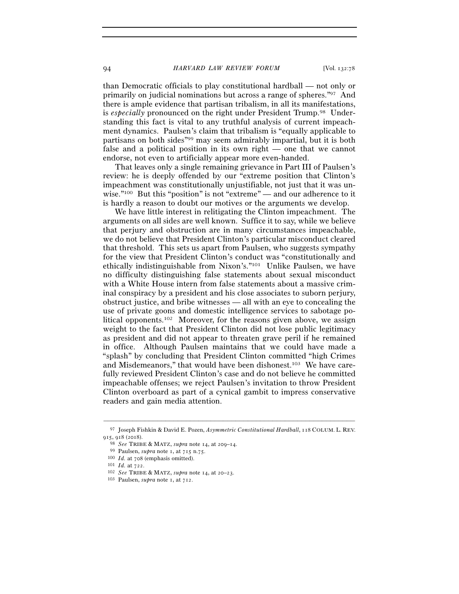than Democratic officials to play constitutional hardball — not only or primarily on judicial nominations but across a range of spheres."97 And there is ample evidence that partisan tribalism, in all its manifestations, is *especially* pronounced on the right under President Trump.98 Understanding this fact is vital to any truthful analysis of current impeachment dynamics. Paulsen's claim that tribalism is "equally applicable to partisans on both sides"99 may seem admirably impartial, but it is both false and a political position in its own right — one that we cannot endorse, not even to artificially appear more even-handed.

That leaves only a single remaining grievance in Part III of Paulsen's review: he is deeply offended by our "extreme position that Clinton's impeachment was constitutionally unjustifiable, not just that it was unwise."100 But this "position" is not "extreme" — and our adherence to it is hardly a reason to doubt our motives or the arguments we develop.

We have little interest in relitigating the Clinton impeachment. The arguments on all sides are well known. Suffice it to say, while we believe that perjury and obstruction are in many circumstances impeachable, we do not believe that President Clinton's particular misconduct cleared that threshold. This sets us apart from Paulsen, who suggests sympathy for the view that President Clinton's conduct was "constitutionally and ethically indistinguishable from Nixon's."101 Unlike Paulsen, we have no difficulty distinguishing false statements about sexual misconduct with a White House intern from false statements about a massive criminal conspiracy by a president and his close associates to suborn perjury, obstruct justice, and bribe witnesses — all with an eye to concealing the use of private goons and domestic intelligence services to sabotage political opponents.102 Moreover, for the reasons given above, we assign weight to the fact that President Clinton did not lose public legitimacy as president and did not appear to threaten grave peril if he remained in office. Although Paulsen maintains that we could have made a "splash" by concluding that President Clinton committed "high Crimes and Misdemeanors," that would have been dishonest.103 We have carefully reviewed President Clinton's case and do not believe he committed impeachable offenses; we reject Paulsen's invitation to throw President Clinton overboard as part of a cynical gambit to impress conservative readers and gain media attention.

<sup>–––––––––––––––––––––––––––––––––––––––––––––––––––––––––––––</sup> <sup>97</sup> Joseph Fishkin & David E. Pozen, *Asymmetric Constitutional Hardball*, 118 COLUM. L. REV. 915, 918 (2018).<br>
<sup>98</sup> *See* TRIBE & MATZ, *supra* note 14, at 209–14.<br>
<sup>99</sup> Paulsen, *supra* note 1, at 715 n.75.<br>
<sup>100</sup> *Id.* at 708 (emphasis omitted).<br>
<sup>101</sup> *Id.* at 722.<br>
<sup>102</sup> *See* TRIBE & MATZ, *supra* note 14, a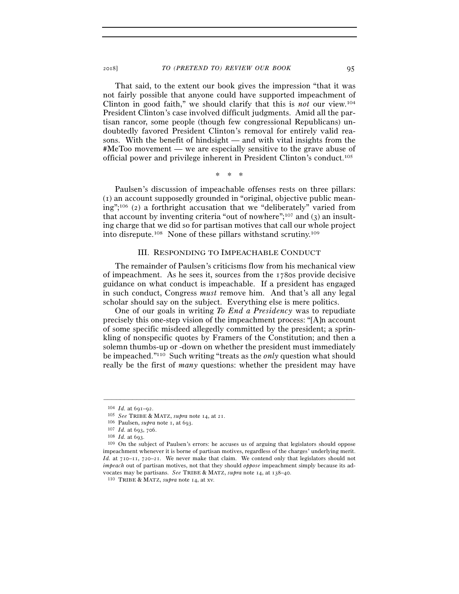That said, to the extent our book gives the impression "that it was not fairly possible that anyone could have supported impeachment of Clinton in good faith," we should clarify that this is *not* our view.104 President Clinton's case involved difficult judgments. Amid all the partisan rancor, some people (though few congressional Republicans) undoubtedly favored President Clinton's removal for entirely valid reasons. With the benefit of hindsight — and with vital insights from the #MeToo movement — we are especially sensitive to the grave abuse of official power and privilege inherent in President Clinton's conduct.105

\* \* \*

Paulsen's discussion of impeachable offenses rests on three pillars: (1) an account supposedly grounded in "original, objective public meaning";106 (2) a forthright accusation that we "deliberately" varied from that account by inventing criteria "out of nowhere";<sup>107</sup> and  $(3)$  an insulting charge that we did so for partisan motives that call our whole project into disrepute.108 None of these pillars withstand scrutiny.109

# III. RESPONDING TO IMPEACHABLE CONDUCT

The remainder of Paulsen's criticisms flow from his mechanical view of impeachment. As he sees it, sources from the 1780s provide decisive guidance on what conduct is impeachable. If a president has engaged in such conduct, Congress *must* remove him. And that's all any legal scholar should say on the subject. Everything else is mere politics.

One of our goals in writing *To End a Presidency* was to repudiate precisely this one-step vision of the impeachment process: "[A]n account of some specific misdeed allegedly committed by the president; a sprinkling of nonspecific quotes by Framers of the Constitution; and then a solemn thumbs-up or -down on whether the president must immediately be impeached."110 Such writing "treats as the *only* question what should really be the first of *many* questions: whether the president may have

<sup>104</sup> *Id.* at 691–<sup>92</sup>. 105 *See* TRIBE & MATZ, *supra* note 14, at <sup>21</sup>. 106 Paulsen, *supra* note 1, at <sup>693</sup>. 107 *Id.* at 693, <sup>706</sup>. 108 *Id.* at 693.

<sup>109</sup> On the subject of Paulsen's errors: he accuses us of arguing that legislators should oppose impeachment whenever it is borne of partisan motives, regardless of the charges' underlying merit. *Id.* at 710–11, 720–21. We never make that claim. We contend only that legislators should not *impeach* out of partisan motives, not that they should *oppose* impeachment simply because its advocates may be partisans. *See* TRIBE & MATZ, *supra* note 14, at 138–<sup>40</sup>. 110 TRIBE & MATZ, *supra* note 14, at xv.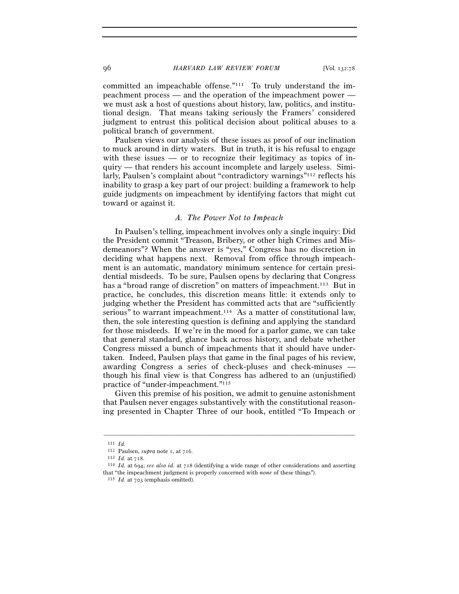96 *HARVARD LAW REVIEW FORUM* [Vol. 132:<sup>78</sup>

committed an impeachable offense."111 To truly understand the impeachment process — and the operation of the impeachment power we must ask a host of questions about history, law, politics, and institutional design. That means taking seriously the Framers' considered judgment to entrust this political decision about political abuses to a political branch of government.

Paulsen views our analysis of these issues as proof of our inclination to muck around in dirty waters. But in truth, it is his refusal to engage with these issues — or to recognize their legitimacy as topics of inquiry — that renders his account incomplete and largely useless. Similarly, Paulsen's complaint about "contradictory warnings"112 reflects his inability to grasp a key part of our project: building a framework to help guide judgments on impeachment by identifying factors that might cut toward or against it.

## *A. The Power Not to Impeach*

In Paulsen's telling, impeachment involves only a single inquiry: Did the President commit "Treason, Bribery, or other high Crimes and Misdemeanors"? When the answer is "yes," Congress has no discretion in deciding what happens next. Removal from office through impeachment is an automatic, mandatory minimum sentence for certain presidential misdeeds. To be sure, Paulsen opens by declaring that Congress has a "broad range of discretion" on matters of impeachment.<sup>113</sup> But in practice, he concludes, this discretion means little: it extends only to judging whether the President has committed acts that are "sufficiently serious" to warrant impeachment.114 As a matter of constitutional law, then, the sole interesting question is defining and applying the standard for those misdeeds. If we're in the mood for a parlor game, we can take that general standard, glance back across history, and debate whether Congress missed a bunch of impeachments that it should have undertaken. Indeed, Paulsen plays that game in the final pages of his review, awarding Congress a series of check-pluses and check-minuses though his final view is that Congress has adhered to an (unjustified) practice of "under-impeachment."115

Given this premise of his position, we admit to genuine astonishment that Paulsen never engages substantively with the constitutional reasoning presented in Chapter Three of our book, entitled "To Impeach or

<sup>111</sup> *Id.*

<sup>&</sup>lt;sup>113</sup> *Id.* at 718. 114 *Id.* at 694; *see also id.* at 718 (identifying a wide range of other considerations and asserting that "the impeachment judgment is properly concerned with *none* of these things"). 115 *Id.* at 703 (emphasis omitted).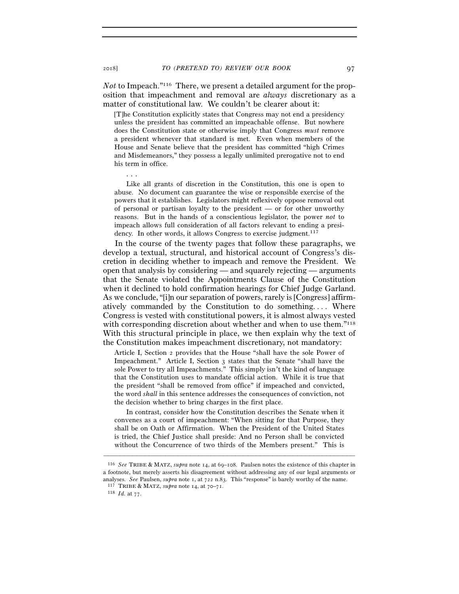*Not* to Impeach."116 There, we present a detailed argument for the proposition that impeachment and removal are *always* discretionary as a matter of constitutional law. We couldn't be clearer about it:

[T]he Constitution explicitly states that Congress may not end a presidency unless the president has committed an impeachable offense. But nowhere does the Constitution state or otherwise imply that Congress *must* remove a president whenever that standard is met. Even when members of the House and Senate believe that the president has committed "high Crimes and Misdemeanors," they possess a legally unlimited prerogative not to end his term in office.

. . .

Like all grants of discretion in the Constitution, this one is open to abuse. No document can guarantee the wise or responsible exercise of the powers that it establishes. Legislators might reflexively oppose removal out of personal or partisan loyalty to the president — or for other unworthy reasons. But in the hands of a conscientious legislator, the power *not* to impeach allows full consideration of all factors relevant to ending a presidency. In other words, it allows Congress to exercise judgment.<sup>117</sup>

In the course of the twenty pages that follow these paragraphs, we develop a textual, structural, and historical account of Congress's discretion in deciding whether to impeach and remove the President. We open that analysis by considering — and squarely rejecting — arguments that the Senate violated the Appointments Clause of the Constitution when it declined to hold confirmation hearings for Chief Judge Garland. As we conclude, "[i]n our separation of powers, rarely is [Congress] affirmatively commanded by the Constitution to do something. . . . Where Congress is vested with constitutional powers, it is almost always vested with corresponding discretion about whether and when to use them.<sup>"118</sup> With this structural principle in place, we then explain why the text of the Constitution makes impeachment discretionary, not mandatory:

Article I, Section 2 provides that the House "shall have the sole Power of Impeachment." Article I, Section 3 states that the Senate "shall have the sole Power to try all Impeachments." This simply isn't the kind of language that the Constitution uses to mandate official action. While it is true that the president "shall be removed from office" if impeached and convicted, the word *shall* in this sentence addresses the consequences of conviction, not the decision whether to bring charges in the first place.

In contrast, consider how the Constitution describes the Senate when it convenes as a court of impeachment: "When sitting for that Purpose, they shall be on Oath or Affirmation. When the President of the United States is tried, the Chief Justice shall preside: And no Person shall be convicted without the Concurrence of two thirds of the Members present." This is

<sup>116</sup> *See* TRIBE & MATZ, *supra* note 14, at 69–108. Paulsen notes the existence of this chapter in a footnote, but merely asserts his disagreement without addressing any of our legal arguments or analyses. *See* Paulsen, *supra* note 1, at 722 n.83. This "response" is barely worthy of the name. 117 TRIBE & MATZ, *supra* note 14, at 70–<sup>71</sup>. 118 *Id.* at 77.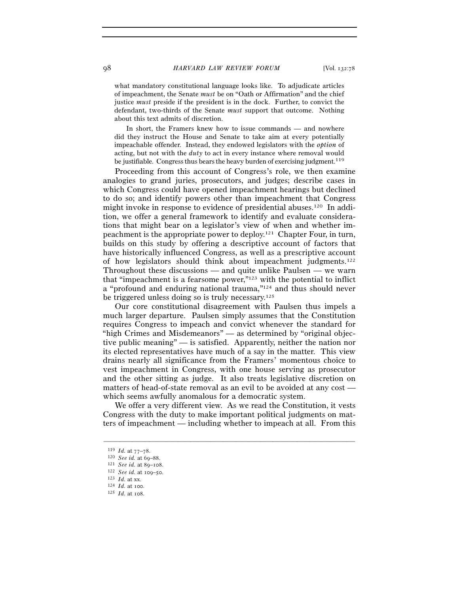what mandatory constitutional language looks like. To adjudicate articles of impeachment, the Senate *must* be on "Oath or Affirmation" and the chief justice *must* preside if the president is in the dock. Further, to convict the defendant, two-thirds of the Senate *must* support that outcome. Nothing about this text admits of discretion.

In short, the Framers knew how to issue commands — and nowhere did they instruct the House and Senate to take aim at every potentially impeachable offender. Instead, they endowed legislators with the *option* of acting, but not with the *duty* to act in every instance where removal would be justifiable. Congress thus bears the heavy burden of exercising judgment.<sup>119</sup>

Proceeding from this account of Congress's role, we then examine analogies to grand juries, prosecutors, and judges; describe cases in which Congress could have opened impeachment hearings but declined to do so; and identify powers other than impeachment that Congress might invoke in response to evidence of presidential abuses.120 In addition, we offer a general framework to identify and evaluate considerations that might bear on a legislator's view of when and whether impeachment is the appropriate power to deploy.121 Chapter Four, in turn, builds on this study by offering a descriptive account of factors that have historically influenced Congress, as well as a prescriptive account of how legislators should think about impeachment judgments.122 Throughout these discussions — and quite unlike Paulsen — we warn that "impeachment is a fearsome power,"123 with the potential to inflict a "profound and enduring national trauma,"124 and thus should never be triggered unless doing so is truly necessary.125

Our core constitutional disagreement with Paulsen thus impels a much larger departure. Paulsen simply assumes that the Constitution requires Congress to impeach and convict whenever the standard for "high Crimes and Misdemeanors" — as determined by "original objective public meaning" — is satisfied. Apparently, neither the nation nor its elected representatives have much of a say in the matter. This view drains nearly all significance from the Framers' momentous choice to vest impeachment in Congress, with one house serving as prosecutor and the other sitting as judge. It also treats legislative discretion on matters of head-of-state removal as an evil to be avoided at any cost which seems awfully anomalous for a democratic system.

We offer a very different view. As we read the Constitution, it vests Congress with the duty to make important political judgments on matters of impeachment — including whether to impeach at all. From this

<sup>119</sup> *Id.* at 77–<sup>78</sup>. 120 *See id.* at 69–<sup>88</sup>. 121 *See id.* at 89–<sup>108</sup>. 122 *See id.* at 109–<sup>50</sup>. 123 *Id.* at xx. 124 *Id.* at <sup>100</sup>. 125 *Id.* at 108.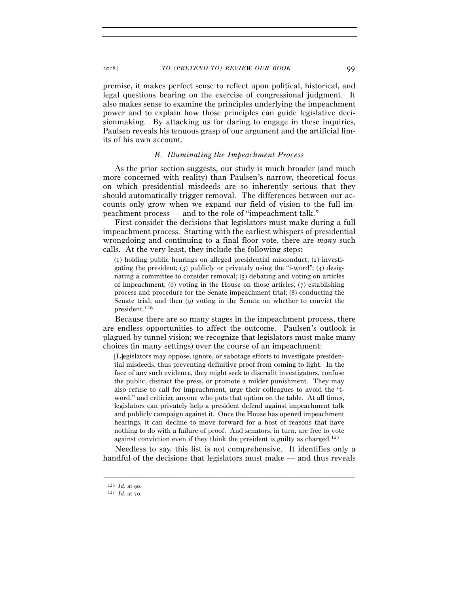premise, it makes perfect sense to reflect upon political, historical, and legal questions bearing on the exercise of congressional judgment. It also makes sense to examine the principles underlying the impeachment power and to explain how those principles can guide legislative decisionmaking. By attacking us for daring to engage in these inquiries, Paulsen reveals his tenuous grasp of our argument and the artificial limits of his own account.

#### *B. Illuminating the Impeachment Process*

As the prior section suggests, our study is much broader (and much more concerned with reality) than Paulsen's narrow, theoretical focus on which presidential misdeeds are so inherently serious that they should automatically trigger removal. The differences between our accounts only grow when we expand our field of vision to the full impeachment process — and to the role of "impeachment talk."

First consider the decisions that legislators must make during a full impeachment process. Starting with the earliest whispers of presidential wrongdoing and continuing to a final floor vote, there are *many* such calls. At the very least, they include the following steps:

(1) holding public hearings on alleged presidential misconduct; (2) investigating the president; (3) publicly or privately using the "i-word"; (4) designating a committee to consider removal; (5) debating and voting on articles of impeachment; (6) voting in the House on those articles; (7) establishing process and procedure for the Senate impeachment trial; (8) conducting the Senate trial; and then (9) voting in the Senate on whether to convict the president.126

Because there are so many stages in the impeachment process, there are endless opportunities to affect the outcome. Paulsen's outlook is plagued by tunnel vision; we recognize that legislators must make many choices (in many settings) over the course of an impeachment:

[L]egislators may oppose, ignore, or sabotage efforts to investigate presidential misdeeds, thus preventing definitive proof from coming to light. In the face of any such evidence, they might seek to discredit investigators, confuse the public, distract the press, or promote a milder punishment. They may also refuse to call for impeachment, urge their colleagues to avoid the "iword," and criticize anyone who puts that option on the table. At all times, legislators can privately help a president defend against impeachment talk and publicly campaign against it. Once the House has opened impeachment hearings, it can decline to move forward for a host of reasons that have nothing to do with a failure of proof. And senators, in turn, are free to vote against conviction even if they think the president is guilty as charged.127

Needless to say, this list is not comprehensive. It identifies only a handful of the decisions that legislators must make — and thus reveals

<sup>126</sup> *Id.* at <sup>90</sup>. 127 *Id.* at 70.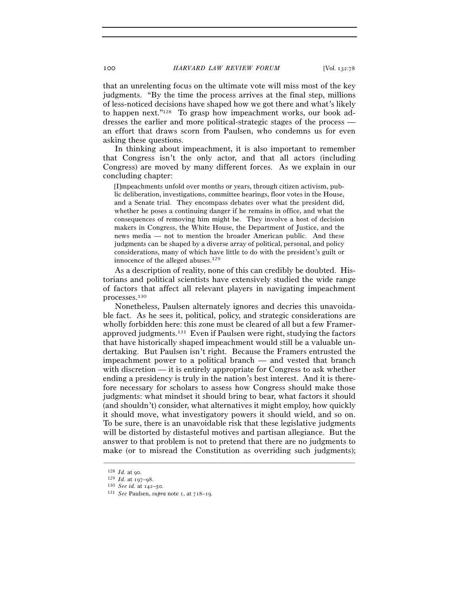that an unrelenting focus on the ultimate vote will miss most of the key judgments. "By the time the process arrives at the final step, millions of less-noticed decisions have shaped how we got there and what's likely to happen next."128 To grasp how impeachment works, our book addresses the earlier and more political-strategic stages of the process an effort that draws scorn from Paulsen, who condemns us for even asking these questions.

In thinking about impeachment, it is also important to remember that Congress isn't the only actor, and that all actors (including Congress) are moved by many different forces. As we explain in our concluding chapter:

[I]mpeachments unfold over months or years, through citizen activism, public deliberation, investigations, committee hearings, floor votes in the House, and a Senate trial. They encompass debates over what the president did, whether he poses a continuing danger if he remains in office, and what the consequences of removing him might be. They involve a host of decision makers in Congress, the White House, the Department of Justice, and the news media — not to mention the broader American public. And these judgments can be shaped by a diverse array of political, personal, and policy considerations, many of which have little to do with the president's guilt or innocence of the alleged abuses.<sup>129</sup>

As a description of reality, none of this can credibly be doubted. Historians and political scientists have extensively studied the wide range of factors that affect all relevant players in navigating impeachment processes.130

Nonetheless, Paulsen alternately ignores and decries this unavoidable fact. As he sees it, political, policy, and strategic considerations are wholly forbidden here: this zone must be cleared of all but a few Framerapproved judgments.131 Even if Paulsen were right, studying the factors that have historically shaped impeachment would still be a valuable undertaking. But Paulsen isn't right. Because the Framers entrusted the impeachment power to a political branch — and vested that branch with discretion — it is entirely appropriate for Congress to ask whether ending a presidency is truly in the nation's best interest. And it is therefore necessary for scholars to assess how Congress should make those judgments: what mindset it should bring to bear, what factors it should (and shouldn't) consider, what alternatives it might employ, how quickly it should move, what investigatory powers it should wield, and so on. To be sure, there is an unavoidable risk that these legislative judgments will be distorted by distasteful motives and partisan allegiance. But the answer to that problem is not to pretend that there are no judgments to make (or to misread the Constitution as overriding such judgments);

<sup>128</sup> *Id.* at <sup>90</sup>. 129 *Id.* at 197–<sup>98</sup>. 130 *See id.* at 142–<sup>50</sup>. 131 *See* Paulsen, *supra* note 1, at 718–19.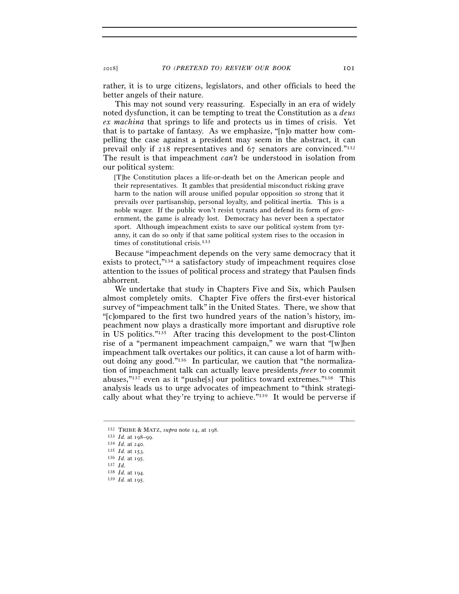rather, it is to urge citizens, legislators, and other officials to heed the better angels of their nature.

This may not sound very reassuring. Especially in an era of widely noted dysfunction, it can be tempting to treat the Constitution as a *deus ex machina* that springs to life and protects us in times of crisis. Yet that is to partake of fantasy. As we emphasize, "[n]o matter how compelling the case against a president may seem in the abstract, it can prevail only if 218 representatives and 67 senators are convinced."132 The result is that impeachment *can't* be understood in isolation from our political system:

[T]he Constitution places a life-or-death bet on the American people and their representatives. It gambles that presidential misconduct risking grave harm to the nation will arouse unified popular opposition so strong that it prevails over partisanship, personal loyalty, and political inertia. This is a noble wager. If the public won't resist tyrants and defend its form of government, the game is already lost. Democracy has never been a spectator sport. Although impeachment exists to save our political system from tyranny, it can do so only if that same political system rises to the occasion in times of constitutional crisis.<sup>133</sup>

Because "impeachment depends on the very same democracy that it exists to protect,"134 a satisfactory study of impeachment requires close attention to the issues of political process and strategy that Paulsen finds abhorrent.

We undertake that study in Chapters Five and Six, which Paulsen almost completely omits. Chapter Five offers the first-ever historical survey of "impeachment talk" in the United States. There, we show that "[c]ompared to the first two hundred years of the nation's history, impeachment now plays a drastically more important and disruptive role in US politics."135 After tracing this development to the post-Clinton rise of a "permanent impeachment campaign," we warn that "[w]hen impeachment talk overtakes our politics, it can cause a lot of harm without doing any good."136 In particular, we caution that "the normalization of impeachment talk can actually leave presidents *freer* to commit abuses,"137 even as it "pushe[s] our politics toward extremes."138 This analysis leads us to urge advocates of impeachment to "think strategically about what they're trying to achieve."139 It would be perverse if

<sup>132</sup> TRIBE & MATZ, *supra* note 14, at 198.<br>
133 *Id.* at 198–99.<br>
134 *Id.* at 240.<br>
135 *Id.* at 153.<br>
136 *Id.* at 195.<br>
137 *Id.*<br>
139 *Id.* at 194.<br>
139 *Id.* at 195.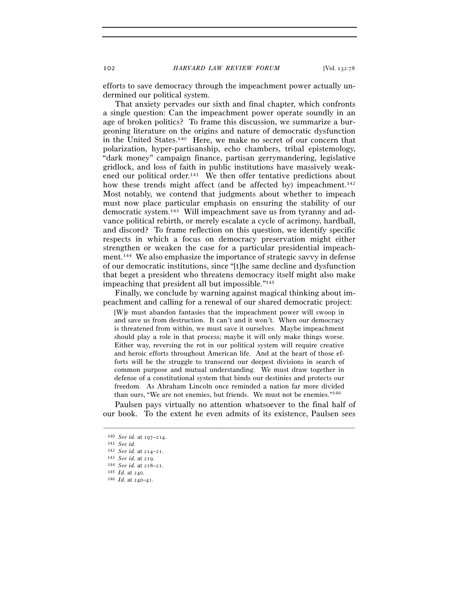efforts to save democracy through the impeachment power actually undermined our political system.

That anxiety pervades our sixth and final chapter, which confronts a single question: Can the impeachment power operate soundly in an age of broken politics? To frame this discussion, we summarize a burgeoning literature on the origins and nature of democratic dysfunction in the United States.140 Here, we make no secret of our concern that polarization, hyper-partisanship, echo chambers, tribal epistemology, "dark money" campaign finance, partisan gerrymandering, legislative gridlock, and loss of faith in public institutions have massively weakened our political order.141 We then offer tentative predictions about how these trends might affect (and be affected by) impeachment.<sup>142</sup> Most notably, we contend that judgments about whether to impeach must now place particular emphasis on ensuring the stability of our democratic system.143 Will impeachment save us from tyranny and advance political rebirth, or merely escalate a cycle of acrimony, hardball, and discord? To frame reflection on this question, we identify specific respects in which a focus on democracy preservation might either strengthen or weaken the case for a particular presidential impeachment.144 We also emphasize the importance of strategic savvy in defense of our democratic institutions, since "[t]he same decline and dysfunction that beget a president who threatens democracy itself might also make impeaching that president all but impossible."145

Finally, we conclude by warning against magical thinking about impeachment and calling for a renewal of our shared democratic project:

[W]e must abandon fantasies that the impeachment power will swoop in and save us from destruction. It can't and it won't. When our democracy is threatened from within, we must save it ourselves. Maybe impeachment should play a role in that process; maybe it will only make things worse. Either way, reversing the rot in our political system will require creative and heroic efforts throughout American life. And at the heart of those efforts will be the struggle to transcend our deepest divisions in search of common purpose and mutual understanding. We must draw together in defense of a constitutional system that binds our destinies and protects our freedom. As Abraham Lincoln once reminded a nation far more divided than ours, "We are not enemies, but friends. We must not be enemies."146

Paulsen pays virtually no attention whatsoever to the final half of our book. To the extent he even admits of its existence, Paulsen sees

<sup>140</sup> *See id.* at 197–<sup>214</sup>. 141 *See id.* 

<sup>142</sup> *See id.* at 214–<sup>21</sup>. 143 *See id.* at <sup>219</sup>. 144 *See id.* at 218–<sup>21</sup>. 145 *Id.* at <sup>240</sup>. 146 *Id.* at 240–41.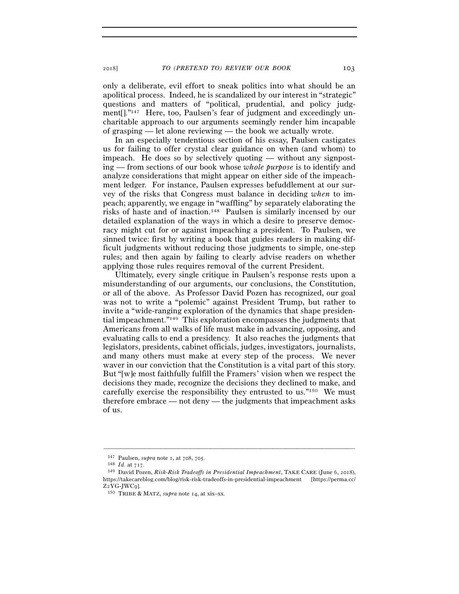only a deliberate, evil effort to sneak politics into what should be an apolitical process. Indeed, he is scandalized by our interest in "strategic" questions and matters of "political, prudential, and policy judgment[]."147 Here, too, Paulsen's fear of judgment and exceedingly uncharitable approach to our arguments seemingly render him incapable of grasping — let alone reviewing — the book we actually wrote.

In an especially tendentious section of his essay, Paulsen castigates us for failing to offer crystal clear guidance on when (and whom) to impeach. He does so by selectively quoting — without any signposting — from sections of our book whose *whole purpose* is to identify and analyze considerations that might appear on either side of the impeachment ledger. For instance, Paulsen expresses befuddlement at our survey of the risks that Congress must balance in deciding *when* to impeach; apparently, we engage in "waffling" by separately elaborating the risks of haste and of inaction.148 Paulsen is similarly incensed by our detailed explanation of the ways in which a desire to preserve democracy might cut for or against impeaching a president. To Paulsen, we sinned twice: first by writing a book that guides readers in making difficult judgments without reducing those judgments to simple, one-step rules; and then again by failing to clearly advise readers on whether applying those rules requires removal of the current President.

Ultimately, every single critique in Paulsen's response rests upon a misunderstanding of our arguments, our conclusions, the Constitution, or all of the above. As Professor David Pozen has recognized, our goal was not to write a "polemic" against President Trump, but rather to invite a "wide-ranging exploration of the dynamics that shape presidential impeachment."149 This exploration encompasses the judgments that Americans from all walks of life must make in advancing, opposing, and evaluating calls to end a presidency. It also reaches the judgments that legislators, presidents, cabinet officials, judges, investigators, journalists, and many others must make at every step of the process. We never waver in our conviction that the Constitution is a vital part of this story. But "[w]e most faithfully fulfill the Framers' vision when we respect the decisions they made, recognize the decisions they declined to make, and carefully exercise the responsibility they entrusted to us."150 We must therefore embrace — not deny — the judgments that impeachment asks of us.

<sup>147</sup> Paulsen, *supra* note 1, at 708, <sup>705</sup>. 148 *Id.* at <sup>717</sup>. 149 David Pozen, *Risk-Risk Tradeoffs in Presidential Impeachment*, TAKE CARE (June 6, 2018), https://takecareblog.com/blog/risk-risk-tradeoffs-in-presidential-impeachment [https://perma.cc/ <sup>Z</sup>2YG-JWC<sup>9</sup>]. 150 TRIBE & MATZ, *supra* note 14, at xix–xx.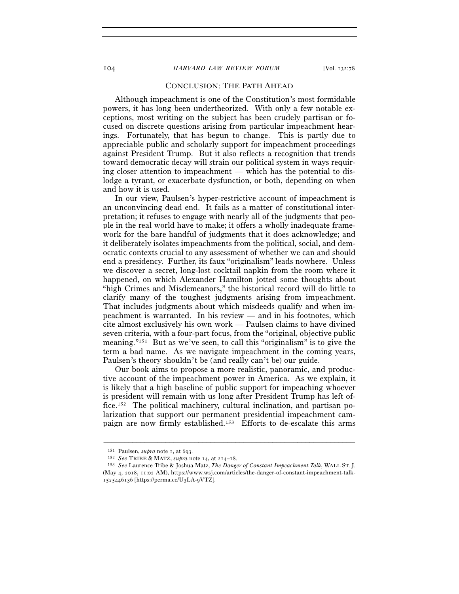# CONCLUSION: THE PATH AHEAD

Although impeachment is one of the Constitution's most formidable powers, it has long been undertheorized. With only a few notable exceptions, most writing on the subject has been crudely partisan or focused on discrete questions arising from particular impeachment hearings. Fortunately, that has begun to change. This is partly due to appreciable public and scholarly support for impeachment proceedings against President Trump. But it also reflects a recognition that trends toward democratic decay will strain our political system in ways requiring closer attention to impeachment — which has the potential to dislodge a tyrant, or exacerbate dysfunction, or both, depending on when and how it is used.

In our view, Paulsen's hyper-restrictive account of impeachment is an unconvincing dead end. It fails as a matter of constitutional interpretation; it refuses to engage with nearly all of the judgments that people in the real world have to make; it offers a wholly inadequate framework for the bare handful of judgments that it does acknowledge; and it deliberately isolates impeachments from the political, social, and democratic contexts crucial to any assessment of whether we can and should end a presidency. Further, its faux "originalism" leads nowhere. Unless we discover a secret, long-lost cocktail napkin from the room where it happened, on which Alexander Hamilton jotted some thoughts about "high Crimes and Misdemeanors," the historical record will do little to clarify many of the toughest judgments arising from impeachment. That includes judgments about which misdeeds qualify and when impeachment is warranted. In his review — and in his footnotes, which cite almost exclusively his own work — Paulsen claims to have divined seven criteria, with a four-part focus, from the "original, objective public meaning."151 But as we've seen, to call this "originalism" is to give the term a bad name. As we navigate impeachment in the coming years, Paulsen's theory shouldn't be (and really can't be) our guide.

Our book aims to propose a more realistic, panoramic, and productive account of the impeachment power in America. As we explain, it is likely that a high baseline of public support for impeaching whoever is president will remain with us long after President Trump has left office.152 The political machinery, cultural inclination, and partisan polarization that support our permanent presidential impeachment campaign are now firmly established.153 Efforts to de-escalate this arms

<sup>151</sup> Paulsen, *supra* note 1, at <sup>693</sup>. 152 *See* TRIBE & MATZ, *supra* note 14, at 214–<sup>18</sup>. 153 *See* Laurence Tribe & Joshua Matz, *The Danger of Constant Impeachment Talk*, WALL ST. J. (May 4, 2018, 11:02 AM), https://www.wsj.com/articles/the-danger-of-constant-impeachment-talk-1525446136 [https://perma.cc/U3LA-9VTZ].